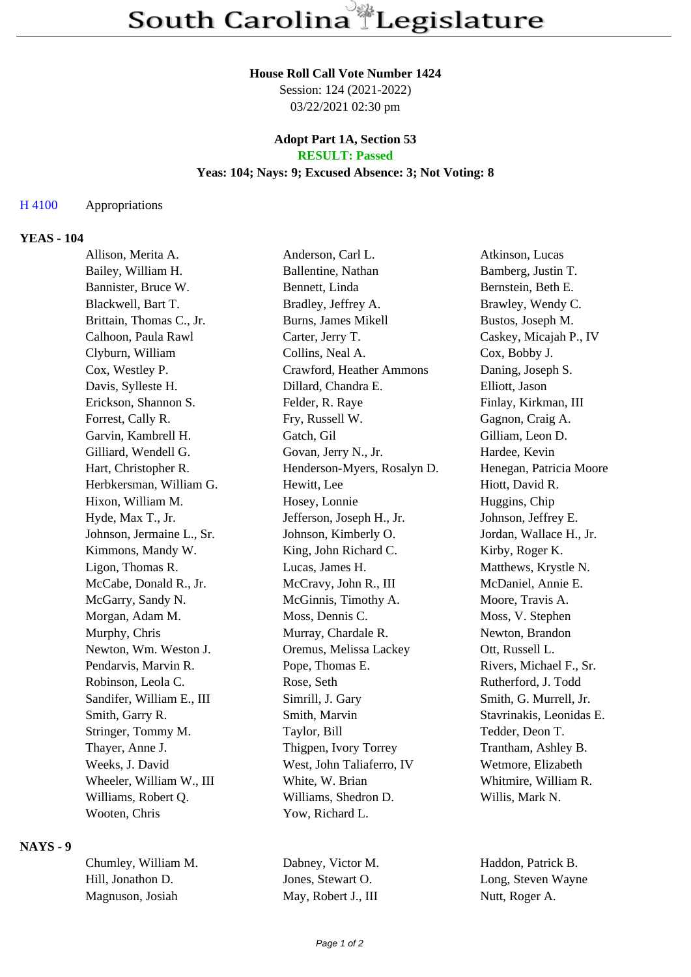#### **House Roll Call Vote Number 1424**

Session: 124 (2021-2022) 03/22/2021 02:30 pm

### **Adopt Part 1A, Section 53 RESULT: Passed**

### **Yeas: 104; Nays: 9; Excused Absence: 3; Not Voting: 8**

#### H 4100 Appropriations

### **YEAS - 104**

| Allison, Merita A.        | Anderson, Carl L.           | Atkinson, Lucas          |
|---------------------------|-----------------------------|--------------------------|
| Bailey, William H.        | Ballentine, Nathan          | Bamberg, Justin T.       |
| Bannister, Bruce W.       | Bennett, Linda              | Bernstein, Beth E.       |
| Blackwell, Bart T.        | Bradley, Jeffrey A.         | Brawley, Wendy C.        |
| Brittain, Thomas C., Jr.  | Burns, James Mikell         | Bustos, Joseph M.        |
| Calhoon, Paula Rawl       | Carter, Jerry T.            | Caskey, Micajah P., IV   |
| Clyburn, William          | Collins, Neal A.            | Cox, Bobby J.            |
| Cox, Westley P.           | Crawford, Heather Ammons    | Daning, Joseph S.        |
| Davis, Sylleste H.        | Dillard, Chandra E.         | Elliott, Jason           |
| Erickson, Shannon S.      | Felder, R. Raye             | Finlay, Kirkman, III     |
| Forrest, Cally R.         | Fry, Russell W.             | Gagnon, Craig A.         |
| Garvin, Kambrell H.       | Gatch, Gil                  | Gilliam, Leon D.         |
| Gilliard, Wendell G.      | Govan, Jerry N., Jr.        | Hardee, Kevin            |
| Hart, Christopher R.      | Henderson-Myers, Rosalyn D. | Henegan, Patricia Moore  |
| Herbkersman, William G.   | Hewitt, Lee                 | Hiott, David R.          |
| Hixon, William M.         | Hosey, Lonnie               | Huggins, Chip            |
| Hyde, Max T., Jr.         | Jefferson, Joseph H., Jr.   | Johnson, Jeffrey E.      |
| Johnson, Jermaine L., Sr. | Johnson, Kimberly O.        | Jordan, Wallace H., Jr.  |
| Kimmons, Mandy W.         | King, John Richard C.       | Kirby, Roger K.          |
| Ligon, Thomas R.          | Lucas, James H.             | Matthews, Krystle N.     |
| McCabe, Donald R., Jr.    | McCravy, John R., III       | McDaniel, Annie E.       |
| McGarry, Sandy N.         | McGinnis, Timothy A.        | Moore, Travis A.         |
| Morgan, Adam M.           | Moss, Dennis C.             | Moss, V. Stephen         |
| Murphy, Chris             | Murray, Chardale R.         | Newton, Brandon          |
| Newton, Wm. Weston J.     | Oremus, Melissa Lackey      | Ott, Russell L.          |
| Pendarvis, Marvin R.      | Pope, Thomas E.             | Rivers, Michael F., Sr.  |
| Robinson, Leola C.        | Rose, Seth                  | Rutherford, J. Todd      |
| Sandifer, William E., III | Simrill, J. Gary            | Smith, G. Murrell, Jr.   |
| Smith, Garry R.           | Smith, Marvin               | Stavrinakis, Leonidas E. |
| Stringer, Tommy M.        | Taylor, Bill                | Tedder, Deon T.          |
| Thayer, Anne J.           | Thigpen, Ivory Torrey       | Trantham, Ashley B.      |
| Weeks, J. David           | West, John Taliaferro, IV   | Wetmore, Elizabeth       |
| Wheeler, William W., III  | White, W. Brian             | Whitmire, William R.     |
| Williams, Robert Q.       | Williams, Shedron D.        | Willis, Mark N.          |
| Wooten, Chris             | Yow, Richard L.             |                          |
|                           |                             |                          |

#### **NAYS - 9**

| Chumley, William M. | D  |
|---------------------|----|
| Hill. Jonathon D.   | Jo |
| Magnuson, Josiah    | М  |

Iay, Robert J., III Nutt, Roger A.

abney, Victor M. Haddon, Patrick B. hill, Jones, Stewart O. Long, Steven Wayne